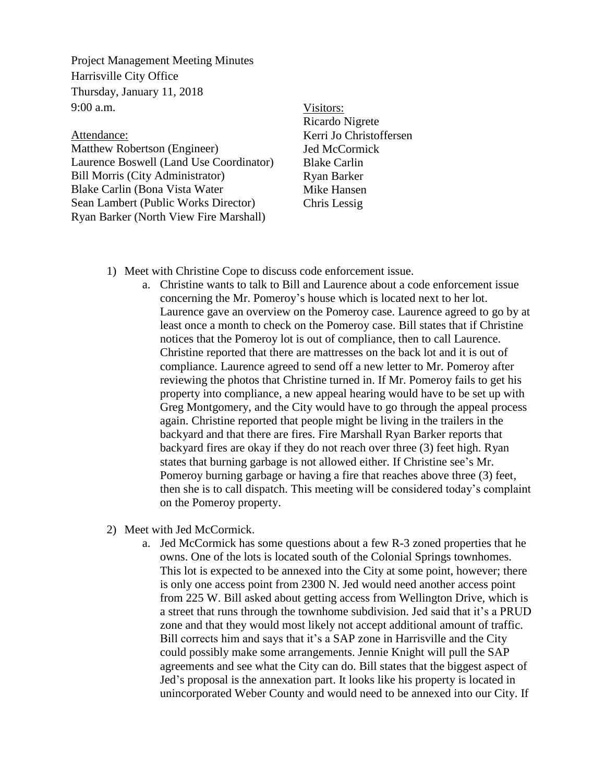Project Management Meeting Minutes Harrisville City Office Thursday, January 11, 2018 9:00 a.m.

## Attendance:

Matthew Robertson (Engineer) Laurence Boswell (Land Use Coordinator) Bill Morris (City Administrator) Blake Carlin (Bona Vista Water Sean Lambert (Public Works Director) Ryan Barker (North View Fire Marshall)

## Visitors:

Ricardo Nigrete Kerri Jo Christoffersen Jed McCormick Blake Carlin Ryan Barker Mike Hansen Chris Lessig

- 1) Meet with Christine Cope to discuss code enforcement issue.
	- a. Christine wants to talk to Bill and Laurence about a code enforcement issue concerning the Mr. Pomeroy's house which is located next to her lot. Laurence gave an overview on the Pomeroy case. Laurence agreed to go by at least once a month to check on the Pomeroy case. Bill states that if Christine notices that the Pomeroy lot is out of compliance, then to call Laurence. Christine reported that there are mattresses on the back lot and it is out of compliance. Laurence agreed to send off a new letter to Mr. Pomeroy after reviewing the photos that Christine turned in. If Mr. Pomeroy fails to get his property into compliance, a new appeal hearing would have to be set up with Greg Montgomery, and the City would have to go through the appeal process again. Christine reported that people might be living in the trailers in the backyard and that there are fires. Fire Marshall Ryan Barker reports that backyard fires are okay if they do not reach over three (3) feet high. Ryan states that burning garbage is not allowed either. If Christine see's Mr. Pomeroy burning garbage or having a fire that reaches above three (3) feet, then she is to call dispatch. This meeting will be considered today's complaint on the Pomeroy property.
- 2) Meet with Jed McCormick.
	- a. Jed McCormick has some questions about a few R-3 zoned properties that he owns. One of the lots is located south of the Colonial Springs townhomes. This lot is expected to be annexed into the City at some point, however; there is only one access point from 2300 N. Jed would need another access point from 225 W. Bill asked about getting access from Wellington Drive, which is a street that runs through the townhome subdivision. Jed said that it's a PRUD zone and that they would most likely not accept additional amount of traffic. Bill corrects him and says that it's a SAP zone in Harrisville and the City could possibly make some arrangements. Jennie Knight will pull the SAP agreements and see what the City can do. Bill states that the biggest aspect of Jed's proposal is the annexation part. It looks like his property is located in unincorporated Weber County and would need to be annexed into our City. If